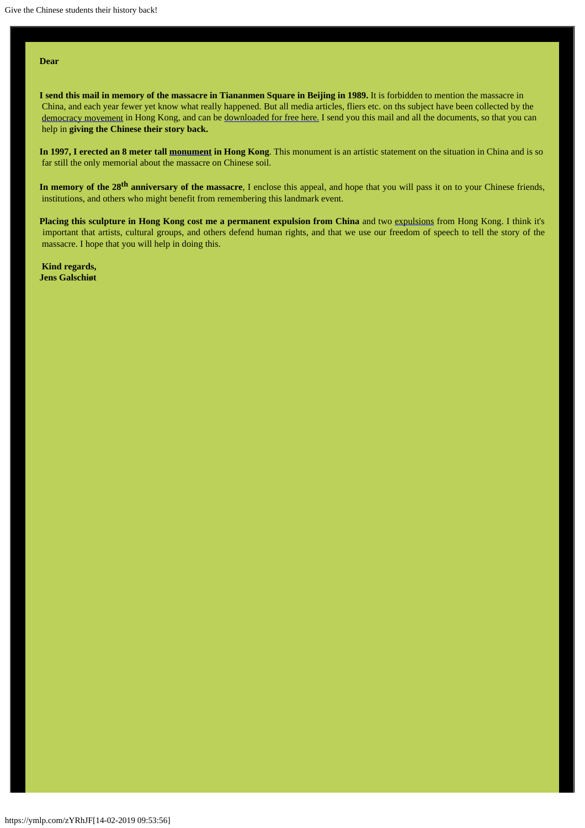#### **Dear**

**I send this mail in memory of the massacre in Tiananmen Square in Beijing in 1989.** It is forbidden to mention the massacre in China, and each year fewer yet know what really happened. But all media articles, fliers etc. on ths subject have been collected by the [democracy movement](http://en.wikipedia.org/wiki/Hong_Kong_Alliance_in_Support_of_Patriotic_Democratic_Movements_in_China) in Hong Kong, and can be [downloaded](http://www.aidoh.dk/?categoryID=183) [for free here.](http://www.aidoh.dk/?categoryID=183) I send you this mail and all the documents, so that you can help in **giving the Chinese their story back.**

**In 1997, I erected an 8 meter tall [monument](http://www.aidoh.dk/?categoryID=62) in Hong Kong**. This monument is an artistic statement on the situation in China and is so far still the only memorial about the massacre on Chinese soil.

In memory of the 28<sup>th</sup> anniversary of the massacre, I enclose this appeal, and hope that you will pass it on to your Chinese friends, institutions, and others who might benefit from remembering this landmark event.

**Placing this sculpture in Hong Kong cost me a permanent expulsion from China** and two [expulsions](http://www.aidoh.dk/?categoryID=283) from Hong Kong. I think it's important that artists, cultural groups, and others defend human rights, and that we use our freedom of speech to tell the story of the massacre. I hope that you will help in doing this.

**Kind regards, Jens Galschiøt**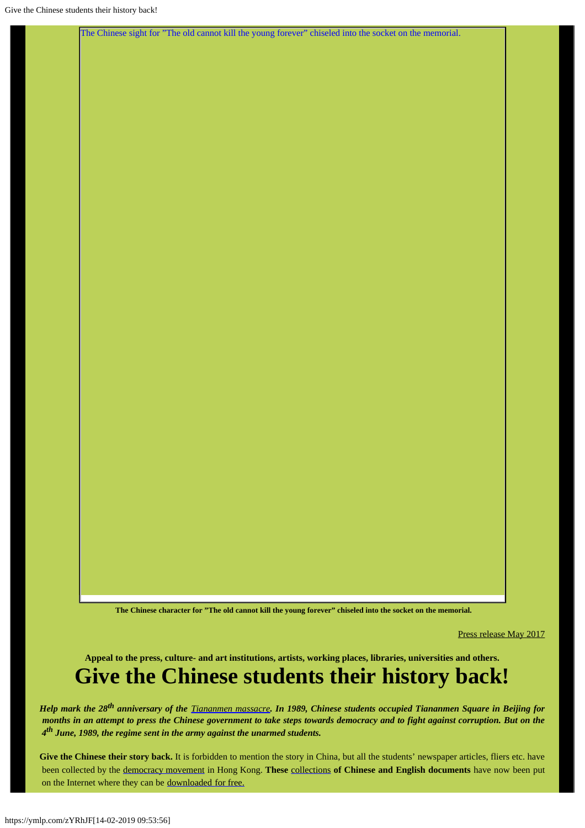[The Chinese sight for "The old cannot kill the young forever" chiseled into the socket on the memorial.](http://www.aidoh.dk/?categoryID=156)

**The Chinese character for "The old cannot kill the young forever" chiseled into the socket on the memorial.**

Press release May 2017

**Appeal to the press, culture- and art institutions, artists, working places, libraries, universities and others.**

# **Give the Chinese students their history back!**

*Help mark the 28th anniversary of the [Tiananmen massacre](http://en.wikipedia.org/wiki/Tiananmen_Square_protests_of_1989). In 1989, Chinese students occupied Tiananmen Square in Beijing for months in an attempt to press the Chinese government to take steps towards democracy and to fight against corruption. But on the 4th June, 1989, the regime sent in the army against the unarmed students.*

Give the Chinese their story back. It is forbidden to mention the story in China, but all the students' newspaper articles, fliers etc. have been collected by the [democracy movement](http://en.wikipedia.org/wiki/Hong_Kong_Alliance_in_Support_of_Patriotic_Democratic_Movements_in_China) in Hong Kong. **These** [collections](http://www.aidoh.dk/?categoryID=156) **of Chinese and English documents** have now been put on the Internet where they can be [downloaded](http://www.aidoh.dk/?categoryID=183) [for free.](http://www.aidoh.dk/?categoryID=183)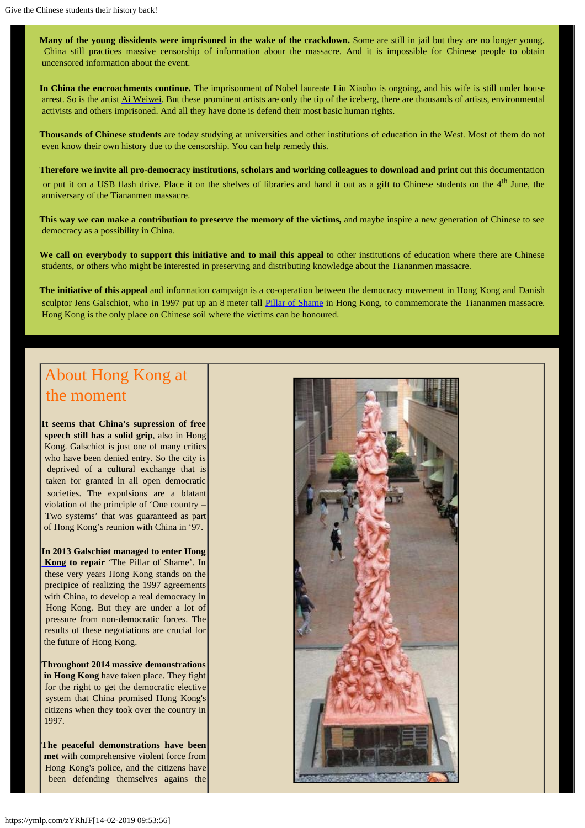**Many of the young dissidents were imprisoned in the wake of the crackdown.** Some are still in jail but they are no longer young. China still practices massive censorship of information abour the massacre. And it is impossible for Chinese people to obtain uncensored information about the event.

In China the encroachments continue. The imprisonment of Nobel laureate [Liu Xiaobo](http://www.aidoh.dk/?categoryID=344) is ongoing, and his wife is still under house arrest. So is the artist [Ai Weiwei](http://www.aidoh.dk/?categoryID=358t). But these prominent artists are only the tip of the iceberg, there are thousands of artists, environmental activists and others imprisoned. And all they have done is defend their most basic human rights.

**Thousands of Chinese students** are today studying at universities and other institutions of education in the West. Most of them do not even know their own history due to the censorship. You can help remedy this.

**Therefore we invite all pro-democracy institutions, scholars and working colleagues to download and print** out this documentation or put it on a USB flash drive. Place it on the shelves of libraries and hand it out as a gift to Chinese students on the  $4<sup>th</sup>$  June, the anniversary of the Tiananmen massacre.

**This way we can make a contribution to preserve the memory of the victims,** and maybe inspire a new generation of Chinese to see democracy as a possibility in China.

**We call on everybody to support this initiative and to mail this appeal** to other institutions of education where there are Chinese students, or others who might be interested in preserving and distributing knowledge about the Tiananmen massacre.

**The initiative of this appeal** and information campaign is a co-operation between the democracy movement in Hong Kong and Danish sculptor Jens Galschiot, who in 1997 put up an 8 meter tall [Pillar of Shame](http://www.aidoh.dk/?categoryID=62) in Hong Kong, to commemorate the Tiananmen massacre. Hong Kong is the only place on Chinese soil where the victims can be honoured.

## About Hong Kong at the moment

**It seems that China's supression of free speech still has a solid grip**, also in Hong Kong. Galschiot is just one of many critics who have been denied entry. So the city is deprived of a cultural exchange that is taken for granted in all open democratic societies. The [expulsions](http://www.aidoh.dk/?categoryID=283) are a blatant violation of the principle of 'One country – Two systems' that was guaranteed as part of Hong Kong's reunion with China in '97.

**In 2013 Galschiøt managed to [enter Hong](http://www.aidoh.dk/?categoryID=436)  [Kong](http://www.aidoh.dk/?categoryID=436) to repair** 'The Pillar of Shame'. In these very years Hong Kong stands on the precipice of realizing the 1997 agreements with China, to develop a real democracy in Hong Kong. But they are under a lot of pressure from non-democratic forces. The results of these negotiations are crucial for the future of Hong Kong.

**Throughout 2014 massive demonstrations in Hong Kong** have taken place. They fight for the right to get the democratic elective system that China promised Hong Kong's citizens when they took over the country in 1997.

**The peaceful demonstrations have been met** with comprehensive violent force from Hong Kong's police, and the citizens have been defending themselves agains the

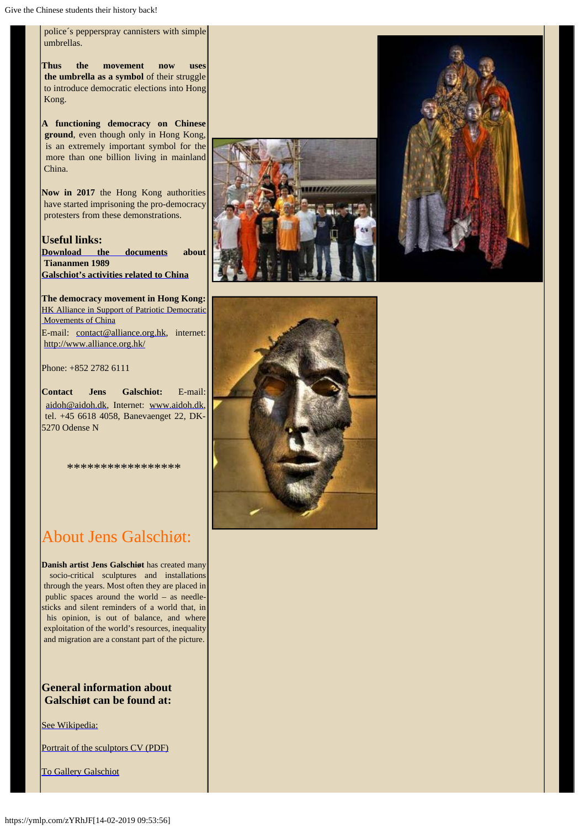police´s pepperspray cannisters with simple umbrellas.

**Thus the movement now uses the umbrella as a symbol** of their struggle to introduce democratic elections into Hong Kong.

**A functioning democracy on Chinese ground**, even though only in Hong Kong, is an extremely important symbol for the more than one billion living in mainland China.

**Now in 2017** the Hong Kong authorities have started imprisoning the pro-democracy protesters from these demonstrations.

**Useful links: [Download the documents](http://www.aidoh.dk/?categoryID=156) about Tiananmen 1989 [Galschiot's activities related to China](http://www.aidoh.dk/?categoryID=357)**

**The democracy movement in Hong Kong:** [HK Alliance in Support of Patriotic Democratic](https://hka8964.wordpress.com/hkaeng/) Movements of China E-mail: [contact@alliance.org.hk](mailto:contact@alliance.org.hk), internet: <http://www.alliance.org.hk/>

Phone: +852 2782 6111

**Contact Jens Galschiot:** E-mail: [aidoh@aidoh.dk](mailto:aidoh@aidoh.dk), Internet: [www.aidoh.dk](http://www.aidoh.dk/), tel. +45 6618 4058, Banevaenget 22, DK-5270 Odense N

\*\*\*\*\*\*\*\*\*\*\*\*\*\*\*\*\*



**Danish artist Jens Galschiøt** has created many socio-critical sculptures and installations through the years. Most often they are placed in public spaces around the world – as needlesticks and silent reminders of a world that, in his opinion, is out of balance, and where exploitation of the world's resources, inequality and migration are a constant part of the picture.

**General information about Galschiøt can be found at:**

[See Wikipedia:](http://en.wikipedia.org/wiki/Galschi%C3%B8t)

[Portrait of the sculptors CV \(PDF\)](http://www.aidoh.dk/new-struct/About-Jens-Galschiot/CV.pdf)

[To Gallery Galschiot](http://www.gallerigalschiot.dk/index_en.html)





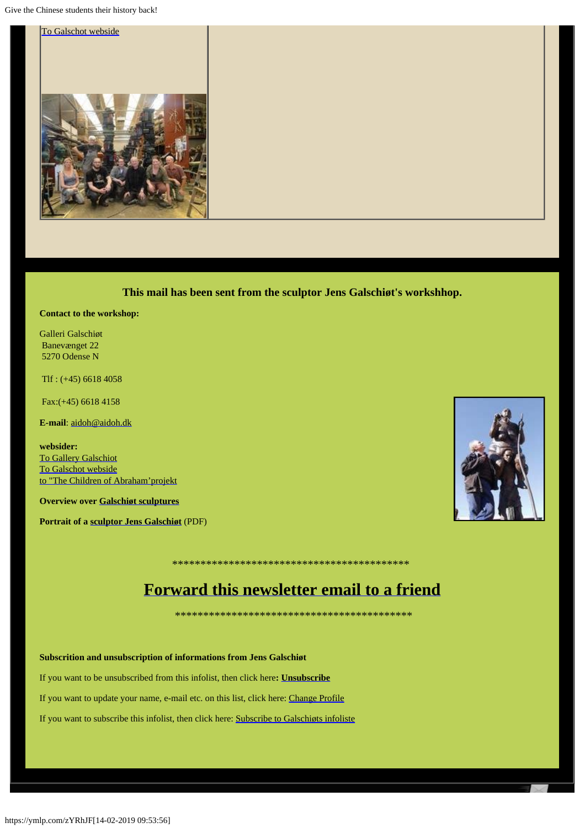Give the Chinese students their history back!



This mail has been sent from the sculptor Jens Galschiøt's workshhop.

#### **Contact to the workshop:**

Galleri Galschiøt **Banevænget 22** 5270 Odense N

 $Tlf: (+45) 6618 4058$ 

Fax: (+45) 6618 4158

E-mail: aidoh@aidoh.dk

websider: **To Gallery Galschiot** To Galschot webside to "The Children of Abraham' projekt

**Overview over Galschiøt sculptures** 

Portrait of a sculptor Jens Galschiøt (PDF)



## Forward this newsletter email to a friend

Subscrition and unsubscription of informations from Jens Galschiøt

If you want to be unsubscribed from this infolist, then click here: **Unsubscribe** 

If you want to update your name, e-mail etc. on this list, click here: Change Profile

If you want to subscribe this infolist, then click here: Subscribe to Galschiøts infoliste